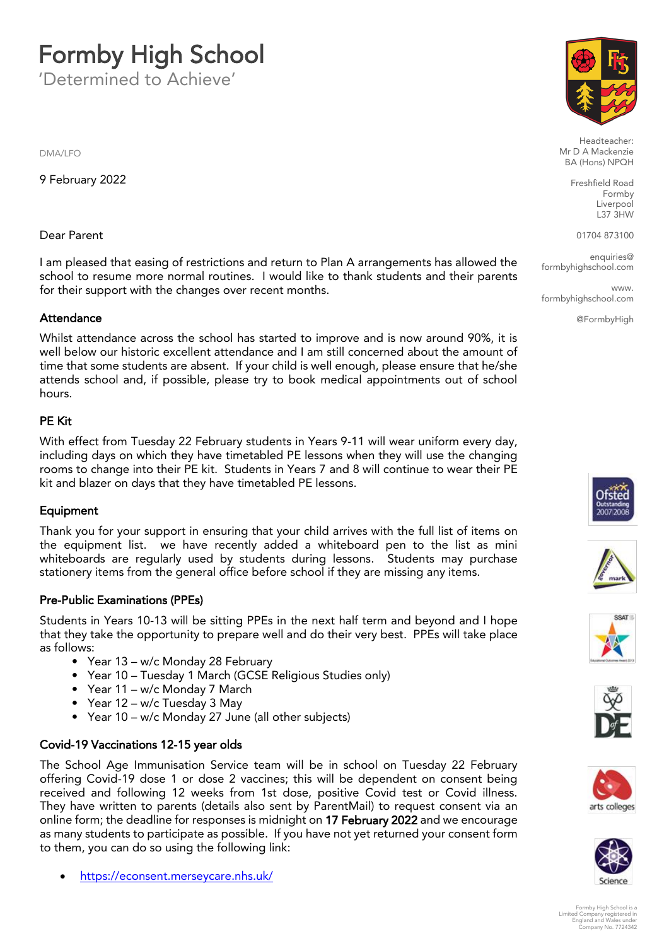# **Formby High School**<br>Determined to Achieve'

'Determined to Achieve'

DMA/LFO

9 February 2022

## Dear Parent

I am pleased that easing of restrictions and return to Plan A arrangements has allowed the school to resume more normal routines. I would like to thank students and their parents for their support with the changes over recent months. for their support with the changes over recent months.

Attendance<br>Whilst attendance across the school has started to improve and is now around 90%, it is well below our historic excellent attendance and I am still concerned about the amount of time that some students are absent. If your child is well enough, please ensure that he/she attends school and if possible please try to book medical appointments out of school  $h_{\text{OUTS}}$ hours.

## **PE Kit**

With effect from Tuesday 22 February students in Years 9-11 will wear uniform every day, including days on which they have timetabled PE lessons when they will use the changing rooms to change into their PE kit. Students in Years 7 and 8 will continue to wear their PE kit and blazer on days that they have timetabled PE lessons kit and blazer on days that they have timetabled PE lessons.

Equipment<br>Thank you for your support in ensuring that your child arrives with the full list of items on the equipment list. we have recently added a whiteboard pen to the list as mini whiteboards are regularly used by students during lessons. Students may purchase white care are regularly used by students during recently students may purchase.<br>stationery items from the general office before school if they are missing any items stationery items from the general office before school if they are missing any items.

Pre-Public Examinations (PPEs)<br>Students in Years 10-13 will be sitting PPEs in the next half term and beyond and I hope that they take the opportunity to prepare well and do their very best. PPEs will take place  $t$  that they take the opportunity to prepare well and do the opportunity take place  $p$ 

- Year 13 w/c Monday 28 February
- Year 10 Tuesday 1 March (GCSE Religious Studies only)
- Year  $11 w/c$  Monday 7 March
- Year  $12 w/c$  Tuesday 3 May
- Year  $10 w/c$  Monday 27 Jun  $\mathcal{P}$  and  $\mathcal{P}$  is the monday  $\mathcal{P}$  denote the subject subject of  $\mathcal{P}$

Covid-19 Vaccinations 12-15 year olds<br>The School Age Immunisation Service team will be in school on Tuesday 22 February offering Covid-19 dose 1 or dose 2 vaccines; this will be dependent on consent being received and following 12 weeks from 1st dose, positive Covid test or Covid illness. They have written to parents (details also sent by ParentMail) to request consent via an online form; the deadline for responses is midnight on 17 February 2022 and we encourage as many students to participate as possible. If you have not yet returned your consent form as many students to participate as possible. If  $y$  is a possible in  $\alpha$  is the multipate of  $\alpha$  is  $\alpha$  is  $\alpha$  is  $\alpha$  is  $\alpha$  is  $\alpha$  is  $\alpha$  is  $\alpha$  is  $\alpha$  is  $\alpha$  is  $\alpha$  is  $\alpha$  is  $\alpha$  is  $\alpha$  is  $\alpha$  is  $\alpha$  is  $\frac{1}{\sqrt{2}}$ 

[https://econsent.merseycare.nhs.uk/](https://eur02.safelinks.protection.outlook.com/?url=https%3A%2F%2Feconsent.merseycare.nhs.uk%2F&data=04%7C01%7Cl.forster%40formbyhighschool.com%7Cbbac6638e751433b0cc608d9dffff312%7C5e1bc3d624b7429b9200b4172dee9aaa%7C0%7C0%7C637787112648904793%7CUnknown%7CTWFpbGZsb3d8eyJWIjoiMC4wLjAwMDAiLCJQIjoiV2luMzIiLCJBTiI6Ik1haWwiLCJXVCI6Mn0%3D%7C3000&sdata=seD80T7stLqwWdFkqEBxs%2FcKtJJW6CU4xagTHBzO6fM%3D&reserved=0)



Headteacher:<br>Mr D A Mackenzie BA (Hons) NPQH  $\mathbb{R}$  (Home) and  $\mathbb{R}$ 

> Freshfield Road Formby Liverpool  $L$ 37  $3H$ W

01704 873100

 $enauiries@$ en<br>School com formbyhighschool.com

**WWW** ww.<br>I com formbyhighschool.com

@FormbyHigh













Formby High School is a Limited Company registered in England and Wales under Company No. 7724342